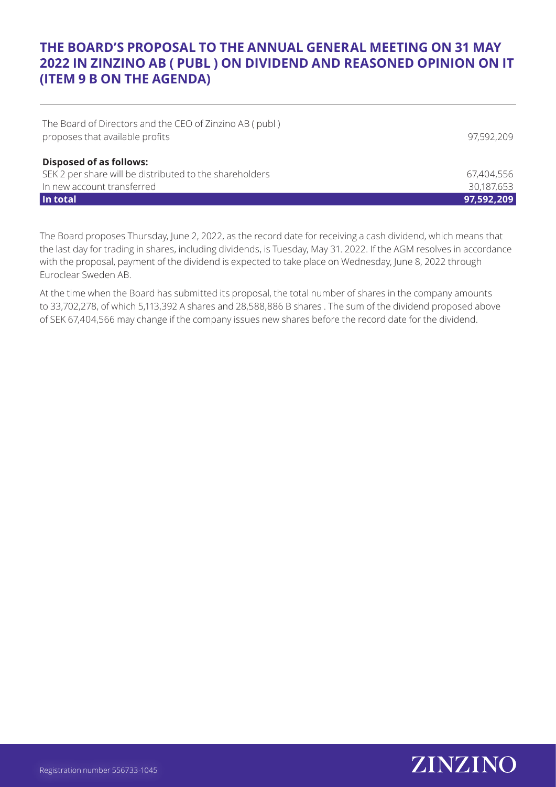## **THE BOARD'S PROPOSAL TO THE ANNUAL GENERAL MEETING ON 31 MAY 2022 IN ZINZINO AB ( PUBL ) ON DIVIDEND AND REASONED OPINION ON IT (ITEM 9 B ON THE AGENDA)**

| In total                                                | 97,592,209 |
|---------------------------------------------------------|------------|
| In new account transferred                              | 30,187,653 |
| SEK 2 per share will be distributed to the shareholders | 67,404,556 |
| <b>Disposed of as follows:</b>                          |            |
| proposes that available profits                         | 97,592,209 |
| The Board of Directors and the CEO of Zinzino AB (publ) |            |

The Board proposes Thursday, June 2, 2022, as the record date for receiving a cash dividend, which means that the last day for trading in shares, including dividends, is Tuesday, May 31. 2022. If the AGM resolves in accordance with the proposal, payment of the dividend is expected to take place on Wednesday, June 8, 2022 through Euroclear Sweden AB.

At the time when the Board has submitted its proposal, the total number of shares in the company amounts to 33,702,278, of which 5,113,392 A shares and 28,588,886 B shares . The sum of the dividend proposed above of SEK 67,404,566 may change if the company issues new shares before the record date for the dividend.